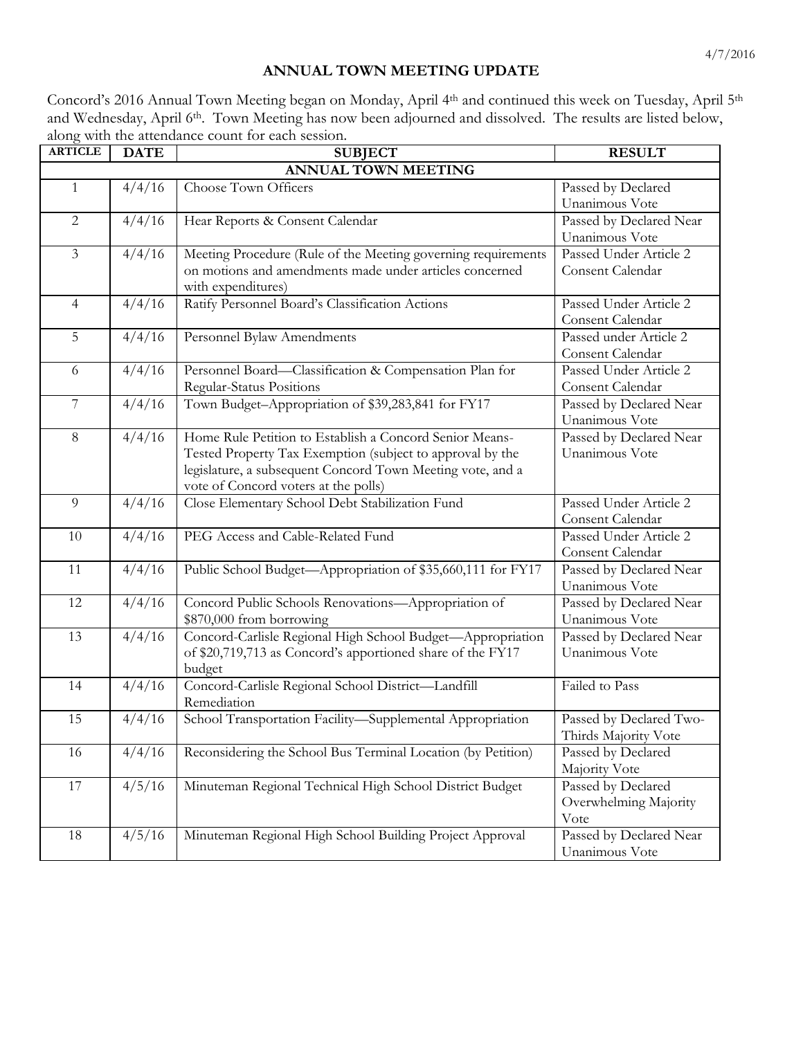## **ANNUAL TOWN MEETING UPDATE**

Concord's 2016 Annual Town Meeting began on Monday, April 4th and continued this week on Tuesday, April 5th and Wednesday, April 6<sup>th</sup>. Town Meeting has now been adjourned and dissolved. The results are listed below, along with the attendance count for each session.

| <b>ARTICLE</b>             | <b>DATE</b> | <b>SUBJECT</b>                                                                | <b>RESULT</b>                             |  |  |
|----------------------------|-------------|-------------------------------------------------------------------------------|-------------------------------------------|--|--|
| <b>ANNUAL TOWN MEETING</b> |             |                                                                               |                                           |  |  |
| $\mathbf{1}$               | 4/4/16      | Choose Town Officers                                                          | Passed by Declared                        |  |  |
|                            |             |                                                                               | Unanimous Vote                            |  |  |
| $\mathbf{2}$               | 4/4/16      | Hear Reports & Consent Calendar                                               | Passed by Declared Near                   |  |  |
|                            |             |                                                                               | Unanimous Vote                            |  |  |
| $\mathfrak{Z}$             | 4/4/16      | Meeting Procedure (Rule of the Meeting governing requirements                 | Passed Under Article 2                    |  |  |
|                            |             | on motions and amendments made under articles concerned<br>with expenditures) | Consent Calendar                          |  |  |
| $\overline{4}$             | 4/4/16      | Ratify Personnel Board's Classification Actions                               | Passed Under Article 2                    |  |  |
|                            |             |                                                                               | Consent Calendar                          |  |  |
| 5                          | 4/4/16      | Personnel Bylaw Amendments                                                    | Passed under Article 2                    |  |  |
|                            |             |                                                                               | Consent Calendar                          |  |  |
| 6                          | 4/4/16      | Personnel Board-Classification & Compensation Plan for                        | Passed Under Article 2                    |  |  |
|                            |             | Regular-Status Positions                                                      | Consent Calendar                          |  |  |
| $\boldsymbol{7}$           | 4/4/16      | Town Budget-Appropriation of \$39,283,841 for FY17                            | Passed by Declared Near                   |  |  |
|                            |             |                                                                               | Unanimous Vote                            |  |  |
| $8\,$                      | 4/4/16      | Home Rule Petition to Establish a Concord Senior Means-                       | Passed by Declared Near                   |  |  |
|                            |             | Tested Property Tax Exemption (subject to approval by the                     | Unanimous Vote                            |  |  |
|                            |             | legislature, a subsequent Concord Town Meeting vote, and a                    |                                           |  |  |
|                            |             | vote of Concord voters at the polls)                                          |                                           |  |  |
| 9                          | 4/4/16      | Close Elementary School Debt Stabilization Fund                               | Passed Under Article 2                    |  |  |
|                            |             |                                                                               | Consent Calendar                          |  |  |
| 10                         | 4/4/16      | PEG Access and Cable-Related Fund                                             | Passed Under Article 2                    |  |  |
| 11                         | 4/4/16      | Public School Budget-Appropriation of \$35,660,111 for FY17                   | Consent Calendar                          |  |  |
|                            |             |                                                                               | Passed by Declared Near<br>Unanimous Vote |  |  |
| 12                         | 4/4/16      | Concord Public Schools Renovations-Appropriation of                           | Passed by Declared Near                   |  |  |
|                            |             | \$870,000 from borrowing                                                      | Unanimous Vote                            |  |  |
| 13                         | 4/4/16      | Concord-Carlisle Regional High School Budget-Appropriation                    | Passed by Declared Near                   |  |  |
|                            |             | of \$20,719,713 as Concord's apportioned share of the FY17                    | Unanimous Vote                            |  |  |
|                            |             | budget                                                                        |                                           |  |  |
| 14                         | 4/4/16      | Concord-Carlisle Regional School District-Landfill                            | Failed to Pass                            |  |  |
|                            |             | Remediation                                                                   |                                           |  |  |
| 15                         | 4/4/16      | School Transportation Facility-Supplemental Appropriation                     | Passed by Declared Two-                   |  |  |
|                            |             |                                                                               | Thirds Majority Vote                      |  |  |
| 16                         | 4/4/16      | Reconsidering the School Bus Terminal Location (by Petition)                  | Passed by Declared                        |  |  |
|                            |             |                                                                               | Majority Vote                             |  |  |
| 17                         | 4/5/16      | Minuteman Regional Technical High School District Budget                      | Passed by Declared                        |  |  |
|                            |             |                                                                               | Overwhelming Majority                     |  |  |
|                            |             |                                                                               | Vote                                      |  |  |
| 18                         | 4/5/16      | Minuteman Regional High School Building Project Approval                      | Passed by Declared Near                   |  |  |
|                            |             |                                                                               | Unanimous Vote                            |  |  |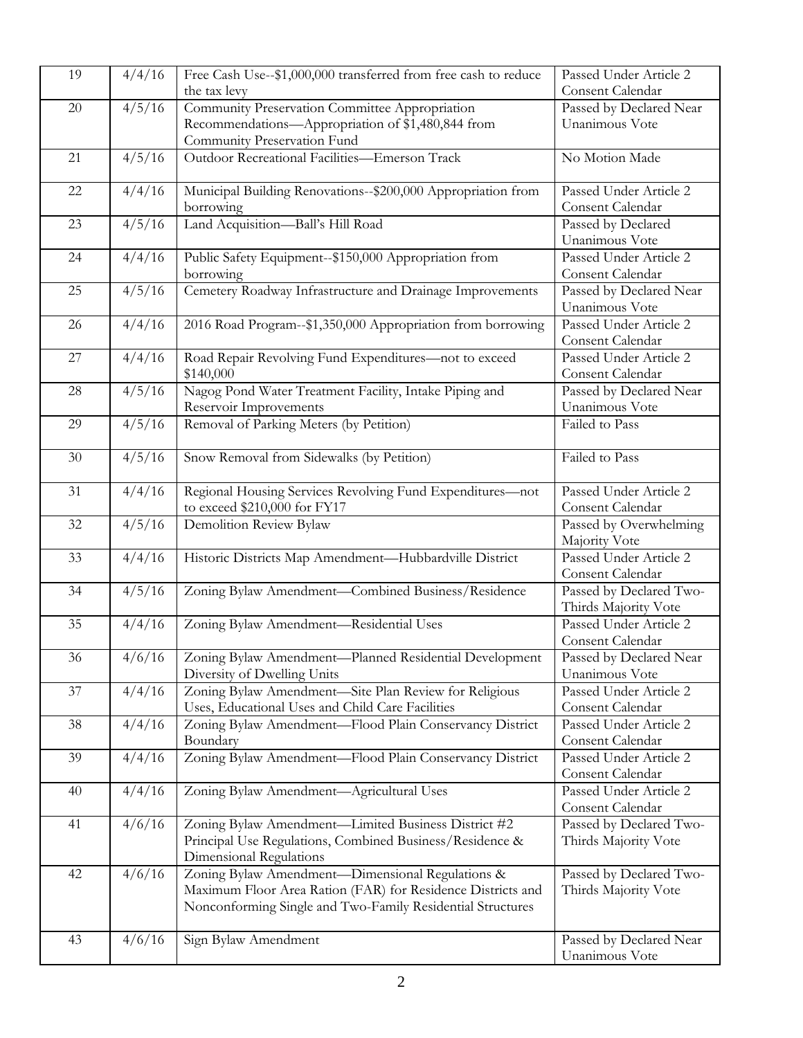| 19 | 4/4/16 | Free Cash Use--\$1,000,000 transferred from free cash to reduce                                           | Passed Under Article 2                   |
|----|--------|-----------------------------------------------------------------------------------------------------------|------------------------------------------|
|    |        | the tax levy                                                                                              | Consent Calendar                         |
| 20 | 4/5/16 | Community Preservation Committee Appropriation                                                            | Passed by Declared Near                  |
|    |        | Recommendations-Appropriation of \$1,480,844 from                                                         | Unanimous Vote                           |
|    |        | Community Preservation Fund                                                                               |                                          |
| 21 | 4/5/16 | Outdoor Recreational Facilities-Emerson Track                                                             | No Motion Made                           |
|    |        |                                                                                                           |                                          |
| 22 | 4/4/16 | Municipal Building Renovations--\$200,000 Appropriation from                                              | Passed Under Article 2                   |
|    |        | borrowing                                                                                                 | Consent Calendar                         |
| 23 | 4/5/16 | Land Acquisition-Ball's Hill Road                                                                         | Passed by Declared                       |
|    |        |                                                                                                           | Unanimous Vote                           |
| 24 | 4/4/16 | Public Safety Equipment--\$150,000 Appropriation from                                                     | Passed Under Article 2                   |
|    |        | borrowing                                                                                                 | Consent Calendar                         |
| 25 | 4/5/16 | Cemetery Roadway Infrastructure and Drainage Improvements                                                 | Passed by Declared Near                  |
| 26 | 4/4/16 |                                                                                                           | Unanimous Vote<br>Passed Under Article 2 |
|    |        | 2016 Road Program--\$1,350,000 Appropriation from borrowing                                               | Consent Calendar                         |
| 27 | 4/4/16 | Road Repair Revolving Fund Expenditures-not to exceed                                                     | Passed Under Article 2                   |
|    |        | \$140,000                                                                                                 | Consent Calendar                         |
| 28 | 4/5/16 | Nagog Pond Water Treatment Facility, Intake Piping and                                                    | Passed by Declared Near                  |
|    |        | Reservoir Improvements                                                                                    | Unanimous Vote                           |
| 29 | 4/5/16 | Removal of Parking Meters (by Petition)                                                                   | Failed to Pass                           |
|    |        |                                                                                                           |                                          |
| 30 | 4/5/16 | Snow Removal from Sidewalks (by Petition)                                                                 | Failed to Pass                           |
|    |        |                                                                                                           |                                          |
| 31 | 4/4/16 | Regional Housing Services Revolving Fund Expenditures-not                                                 | Passed Under Article 2                   |
|    |        | to exceed \$210,000 for FY17                                                                              | Consent Calendar                         |
| 32 | 4/5/16 | Demolition Review Bylaw                                                                                   | Passed by Overwhelming                   |
|    |        |                                                                                                           | Majority Vote                            |
| 33 | 4/4/16 | Historic Districts Map Amendment-Hubbardville District                                                    | Passed Under Article 2                   |
|    |        |                                                                                                           | Consent Calendar                         |
| 34 | 4/5/16 | Zoning Bylaw Amendment-Combined Business/Residence                                                        | Passed by Declared Two-                  |
|    |        |                                                                                                           | Thirds Majority Vote                     |
| 35 | 4/4/16 | Zoning Bylaw Amendment-Residential Uses                                                                   | Passed Under Article 2                   |
|    |        |                                                                                                           | Consent Calendar                         |
| 36 | 4/6/16 | Zoning Bylaw Amendment—Planned Residential Development                                                    | Passed by Declared Near                  |
| 37 | 4/4/16 | Diversity of Dwelling Units                                                                               | Unanimous Vote<br>Passed Under Article 2 |
|    |        | Zoning Bylaw Amendment-Site Plan Review for Religious<br>Uses, Educational Uses and Child Care Facilities | Consent Calendar                         |
| 38 | 4/4/16 | Zoning Bylaw Amendment-Flood Plain Conservancy District                                                   | Passed Under Article 2                   |
|    |        | Boundary                                                                                                  | Consent Calendar                         |
| 39 | 4/4/16 | Zoning Bylaw Amendment-Flood Plain Conservancy District                                                   | Passed Under Article 2                   |
|    |        |                                                                                                           | Consent Calendar                         |
| 40 | 4/4/16 | Zoning Bylaw Amendment-Agricultural Uses                                                                  | Passed Under Article 2                   |
|    |        |                                                                                                           | Consent Calendar                         |
| 41 | 4/6/16 | Zoning Bylaw Amendment-Limited Business District #2                                                       | Passed by Declared Two-                  |
|    |        | Principal Use Regulations, Combined Business/Residence &                                                  | Thirds Majority Vote                     |
|    |        | Dimensional Regulations                                                                                   |                                          |
| 42 | 4/6/16 | Zoning Bylaw Amendment-Dimensional Regulations &                                                          | Passed by Declared Two-                  |
|    |        | Maximum Floor Area Ration (FAR) for Residence Districts and                                               | Thirds Majority Vote                     |
|    |        | Nonconforming Single and Two-Family Residential Structures                                                |                                          |
|    |        |                                                                                                           |                                          |
| 43 | 4/6/16 | Sign Bylaw Amendment                                                                                      | Passed by Declared Near                  |
|    |        |                                                                                                           | Unanimous Vote                           |